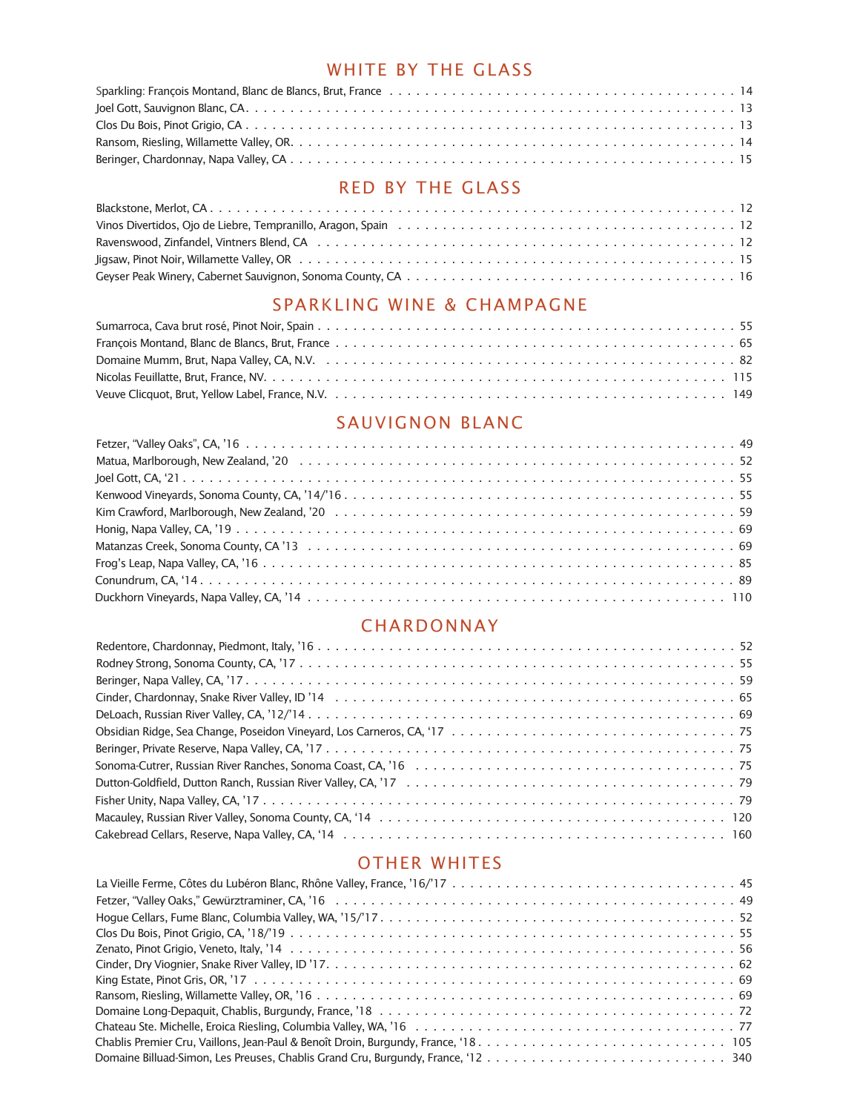# WHITE BY THE GLASS

# RED BY THE GLASS

## SPARKLING WINE & CHAMPAGNE

# SAUVIGNON BLANC

#### CHARDONNAY

# OTHER WHITES